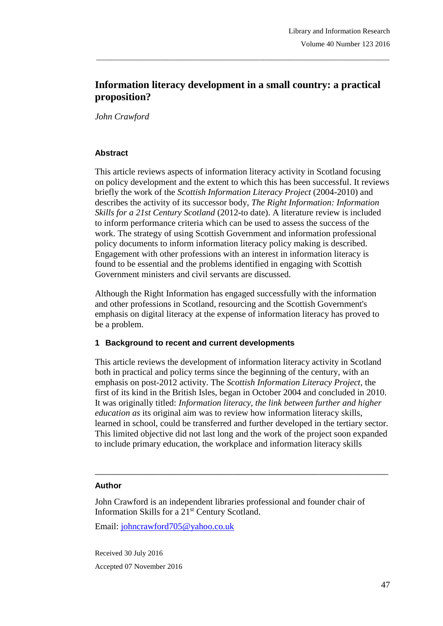# **Information literacy development in a small country: a practical proposition?**

\_\_\_\_\_\_\_\_\_\_\_\_\_\_\_\_\_\_\_\_\_\_\_\_\_\_\_\_\_\_\_\_\_\_\_\_\_\_\_\_\_\_\_\_\_\_\_\_\_\_\_\_\_\_\_\_\_\_\_\_\_\_\_\_\_\_\_\_\_\_\_\_\_\_\_\_\_\_\_

*John Crawford*

### **Abstract**

This article reviews aspects of information literacy activity in Scotland focusing on policy development and the extent to which this has been successful. It reviews briefly the work of the *Scottish Information Literacy Project* (2004-2010) and describes the activity of its successor body, *The Right Information: Information Skills for a 21st Century Scotland* (2012-to date). A literature review is included to inform performance criteria which can be used to assess the success of the work. The strategy of using Scottish Government and information professional policy documents to inform information literacy policy making is described. Engagement with other professions with an interest in information literacy is found to be essential and the problems identified in engaging with Scottish Government ministers and civil servants are discussed.

Although the Right Information has engaged successfully with the information and other professions in Scotland, resourcing and the Scottish Government's emphasis on digital literacy at the expense of information literacy has proved to be a problem.

#### **1 Background to recent and current developments**

This article reviews the development of information literacy activity in Scotland both in practical and policy terms since the beginning of the century, with an emphasis on post-2012 activity. The *Scottish Information Literacy Project*, the first of its kind in the British Isles, began in October 2004 and concluded in 2010. It was originally titled: *Information literacy, the link between further and higher education as* its original aim was to review how information literacy skills, learned in school, could be transferred and further developed in the tertiary sector. This limited objective did not last long and the work of the project soon expanded to include primary education, the workplace and information literacy skills

\_\_\_\_\_\_\_\_\_\_\_\_\_\_\_\_\_\_\_\_\_\_\_\_\_\_\_\_\_\_\_\_\_\_\_\_\_\_\_\_\_\_\_\_\_\_\_\_\_\_\_\_\_\_\_\_\_\_\_\_\_\_\_\_\_\_\_\_\_\_\_

#### **Author**

John Crawford is an independent libraries professional and founder chair of Information Skills for a 21st Century Scotland.

Email: [johncrawford705@yahoo.co.uk](mailto:johncrawford705@yahoo.co.uk)

Received 30 July 2016 Accepted 07 November 2016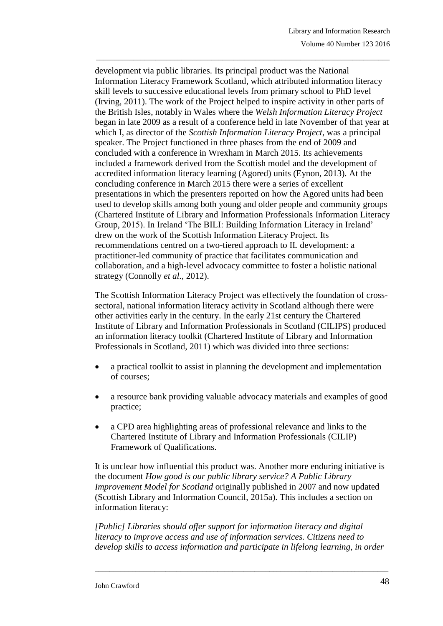development via public libraries. Its principal product was the National Information Literacy Framework Scotland, which attributed information literacy skill levels to successive educational levels from primary school to PhD level (Irving, 2011). The work of the Project helped to inspire activity in other parts of the British Isles, notably in Wales where the *Welsh Information Literacy Project* began in late 2009 as a result of a conference held in late November of that year at which I, as director of the *Scottish Information Literacy Project*, was a principal speaker. The Project functioned in three phases from the end of 2009 and concluded with a conference in Wrexham in March 2015. Its achievements included a framework derived from the Scottish model and the development of accredited information literacy learning (Agored) units (Eynon, 2013). At the concluding conference in March 2015 there were a series of excellent presentations in which the presenters reported on how the Agored units had been used to develop skills among both young and older people and community groups (Chartered Institute of Library and Information Professionals Information Literacy Group, 2015). In Ireland 'The BILI: Building Information Literacy in Ireland' drew on the work of the Scottish Information Literacy Project. Its recommendations centred on a two-tiered approach to IL development: a practitioner-led community of practice that facilitates communication and collaboration, and a high-level advocacy committee to foster a holistic national strategy (Connolly *et al.*, 2012).

\_\_\_\_\_\_\_\_\_\_\_\_\_\_\_\_\_\_\_\_\_\_\_\_\_\_\_\_\_\_\_\_\_\_\_\_\_\_\_\_\_\_\_\_\_\_\_\_\_\_\_\_\_\_\_\_\_\_\_\_\_\_\_\_\_\_\_\_\_\_\_\_\_\_\_\_\_\_\_

The Scottish Information Literacy Project was effectively the foundation of crosssectoral, national information literacy activity in Scotland although there were other activities early in the century. In the early 21st century the Chartered Institute of Library and Information Professionals in Scotland (CILIPS) produced an information literacy toolkit (Chartered Institute of Library and Information Professionals in Scotland, 2011) which was divided into three sections:

- a practical toolkit to assist in planning the development and implementation of courses;
- a resource bank providing valuable advocacy materials and examples of good practice;
- a CPD area highlighting areas of professional relevance and links to the Chartered Institute of Library and Information Professionals (CILIP) Framework of Qualifications.

It is unclear how influential this product was. Another more enduring initiative is the document *How good is our public library service? A Public Library Improvement Model for Scotland* originally published in 2007 and now updated (Scottish Library and Information Council, 2015a). This includes a section on information literacy:

*[Public] Libraries should offer support for information literacy and digital literacy to improve access and use of information services. Citizens need to develop skills to access information and participate in lifelong learning, in order*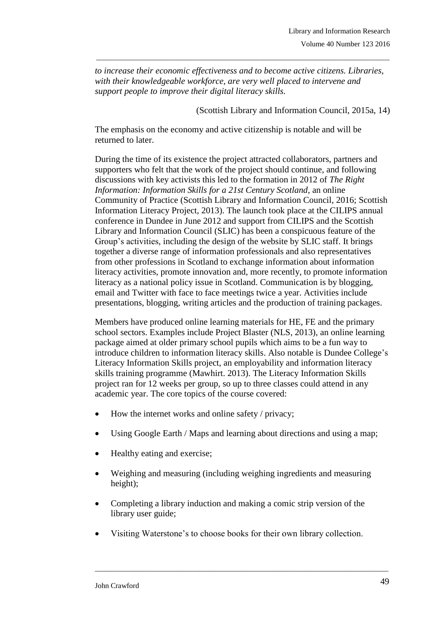*to increase their economic effectiveness and to become active citizens. Libraries, with their knowledgeable workforce, are very well placed to intervene and support people to improve their digital literacy skills.*

\_\_\_\_\_\_\_\_\_\_\_\_\_\_\_\_\_\_\_\_\_\_\_\_\_\_\_\_\_\_\_\_\_\_\_\_\_\_\_\_\_\_\_\_\_\_\_\_\_\_\_\_\_\_\_\_\_\_\_\_\_\_\_\_\_\_\_\_\_\_\_\_\_\_\_\_\_\_\_

(Scottish Library and Information Council, 2015a, 14)

The emphasis on the economy and active citizenship is notable and will be returned to later.

During the time of its existence the project attracted collaborators, partners and supporters who felt that the work of the project should continue, and following discussions with key activists this led to the formation in 2012 of *The Right Information: Information Skills for a 21st Century Scotland*, an online Community of Practice (Scottish Library and Information Council, 2016; Scottish Information Literacy Project, 2013). The launch took place at the CILIPS annual conference in Dundee in June 2012 and support from CILIPS and the Scottish Library and Information Council (SLIC) has been a conspicuous feature of the Group's activities, including the design of the website by SLIC staff. It brings together a diverse range of information professionals and also representatives from other professions in Scotland to exchange information about information literacy activities, promote innovation and, more recently, to promote information literacy as a national policy issue in Scotland. Communication is by blogging, email and Twitter with face to face meetings twice a year. Activities include presentations, blogging, writing articles and the production of training packages.

Members have produced online learning materials for HE, FE and the primary school sectors. Examples include Project Blaster (NLS, 2013), an online learning package aimed at older primary school pupils which aims to be a fun way to introduce children to information literacy skills. Also notable is Dundee College's Literacy Information Skills project, an employability and information literacy skills training programme (Mawhirt. 2013). The Literacy Information Skills project ran for 12 weeks per group, so up to three classes could attend in any academic year. The core topics of the course covered:

- $\bullet$  How the internet works and online safety / privacy;
- Using Google Earth / Maps and learning about directions and using a map;
- Healthy eating and exercise;
- Weighing and measuring (including weighing ingredients and measuring height);
- Completing a library induction and making a comic strip version of the library user guide;
- Visiting Waterstone's to choose books for their own library collection.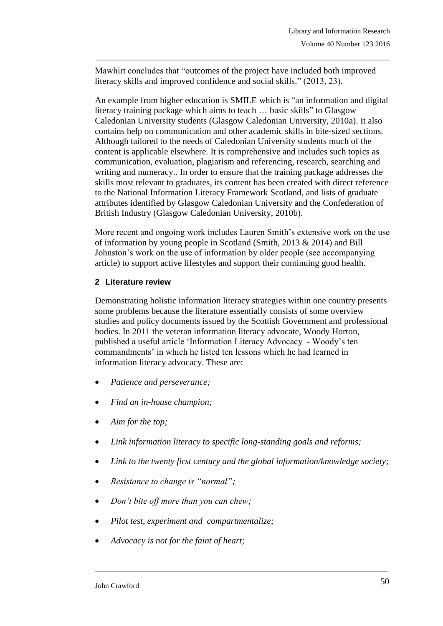Mawhirt concludes that "outcomes of the project have included both improved literacy skills and improved confidence and social skills." (2013, 23).

\_\_\_\_\_\_\_\_\_\_\_\_\_\_\_\_\_\_\_\_\_\_\_\_\_\_\_\_\_\_\_\_\_\_\_\_\_\_\_\_\_\_\_\_\_\_\_\_\_\_\_\_\_\_\_\_\_\_\_\_\_\_\_\_\_\_\_\_\_\_\_\_\_\_\_\_\_\_\_

An example from higher education is SMILE which is "an information and digital literacy training package which aims to teach … basic skills" to Glasgow Caledonian University students (Glasgow Caledonian University, 2010a). It also contains help on communication and other academic skills in bite-sized sections. Although tailored to the needs of Caledonian University students much of the content is applicable elsewhere. It is comprehensive and includes such topics as communication, evaluation, plagiarism and referencing, research, searching and writing and numeracy.. In order to ensure that the training package addresses the skills most relevant to graduates, its content has been created with direct reference to the National Information Literacy Framework Scotland, and lists of graduate attributes identified by Glasgow Caledonian University and the Confederation of British Industry (Glasgow Caledonian University, 2010b).

More recent and ongoing work includes Lauren Smith's extensive work on the use of information by young people in Scotland (Smith, 2013 & 2014) and Bill Johnston's work on the use of information by older people (see accompanying article) to support active lifestyles and support their continuing good health.

### **2 Literature review**

Demonstrating holistic information literacy strategies within one country presents some problems because the literature essentially consists of some overview studies and policy documents issued by the Scottish Government and professional bodies. In 2011 the veteran information literacy advocate, Woody Horton, published a useful article 'Information Literacy Advocacy - Woody's ten commandments' in which he listed ten lessons which he had learned in information literacy advocacy. These are:

- *Patience and perseverance;*
- *Find an in-house champion;*
- *Aim for the top;*
- *Link information literacy to specific long-standing goals and reforms;*
- *Link to the twenty first century and the global information/knowledge society;*

- *Resistance to change is "normal";*
- *Don't bite off more than you can chew;*
- *Pilot test, experiment and compartmentalize;*
- *Advocacy is not for the faint of heart;*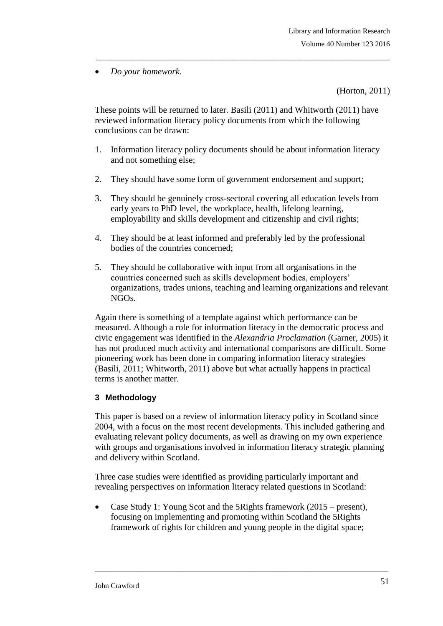*Do your homework.*

(Horton, 2011)

These points will be returned to later. Basili (2011) and Whitworth (2011) have reviewed information literacy policy documents from which the following conclusions can be drawn:

\_\_\_\_\_\_\_\_\_\_\_\_\_\_\_\_\_\_\_\_\_\_\_\_\_\_\_\_\_\_\_\_\_\_\_\_\_\_\_\_\_\_\_\_\_\_\_\_\_\_\_\_\_\_\_\_\_\_\_\_\_\_\_\_\_\_\_\_\_\_\_\_\_\_\_\_\_\_\_

- 1. Information literacy policy documents should be about information literacy and not something else;
- 2. They should have some form of government endorsement and support;
- 3. They should be genuinely cross-sectoral covering all education levels from early years to PhD level, the workplace, health, lifelong learning, employability and skills development and citizenship and civil rights;
- 4. They should be at least informed and preferably led by the professional bodies of the countries concerned;
- 5. They should be collaborative with input from all organisations in the countries concerned such as skills development bodies, employers' organizations, trades unions, teaching and learning organizations and relevant NGOs.

Again there is something of a template against which performance can be measured. Although a role for information literacy in the democratic process and civic engagement was identified in the *Alexandria Proclamation* (Garner, 2005) it has not produced much activity and international comparisons are difficult. Some pioneering work has been done in comparing information literacy strategies (Basili, 2011; Whitworth, 2011) above but what actually happens in practical terms is another matter.

## **3 Methodology**

This paper is based on a review of information literacy policy in Scotland since 2004, with a focus on the most recent developments. This included gathering and evaluating relevant policy documents, as well as drawing on my own experience with groups and organisations involved in information literacy strategic planning and delivery within Scotland.

Three case studies were identified as providing particularly important and revealing perspectives on information literacy related questions in Scotland:

 Case Study 1: Young Scot and the 5Rights framework (2015 – present), focusing on implementing and promoting within Scotland the 5Rights framework of rights for children and young people in the digital space;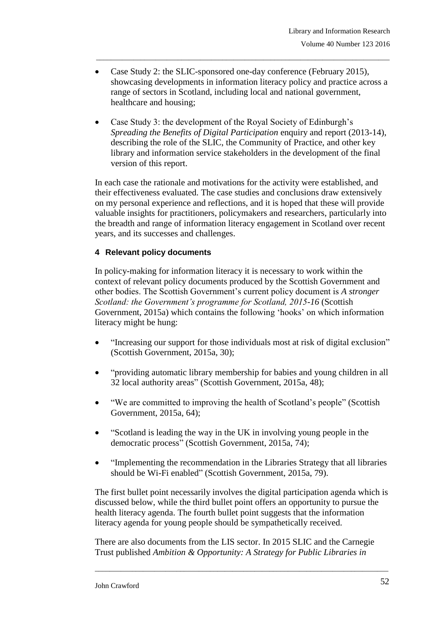• Case Study 2: the SLIC-sponsored one-day conference (February 2015), showcasing developments in information literacy policy and practice across a range of sectors in Scotland, including local and national government, healthcare and housing;

\_\_\_\_\_\_\_\_\_\_\_\_\_\_\_\_\_\_\_\_\_\_\_\_\_\_\_\_\_\_\_\_\_\_\_\_\_\_\_\_\_\_\_\_\_\_\_\_\_\_\_\_\_\_\_\_\_\_\_\_\_\_\_\_\_\_\_\_\_\_\_\_\_\_\_\_\_\_\_

 Case Study 3: the development of the Royal Society of Edinburgh's *Spreading the Benefits of Digital Participation* enquiry and report (2013-14), describing the role of the SLIC, the Community of Practice, and other key library and information service stakeholders in the development of the final version of this report.

In each case the rationale and motivations for the activity were established, and their effectiveness evaluated. The case studies and conclusions draw extensively on my personal experience and reflections, and it is hoped that these will provide valuable insights for practitioners, policymakers and researchers, particularly into the breadth and range of information literacy engagement in Scotland over recent years, and its successes and challenges.

### **4 Relevant policy documents**

In policy-making for information literacy it is necessary to work within the context of relevant policy documents produced by the Scottish Government and other bodies. The Scottish Government's current policy document is *A stronger Scotland: the Government's programme for Scotland, 2015-16* (Scottish Government, 2015a) which contains the following 'hooks' on which information literacy might be hung:

- "Increasing our support for those individuals most at risk of digital exclusion" (Scottish Government, 2015a, 30);
- "providing automatic library membership for babies and young children in all 32 local authority areas" (Scottish Government, 2015a, 48);
- "We are committed to improving the health of Scotland's people" (Scottish Government, 2015a, 64);
- "Scotland is leading the way in the UK in involving young people in the democratic process" (Scottish Government, 2015a, 74);
- "Implementing the recommendation in the Libraries Strategy that all libraries should be Wi-Fi enabled" (Scottish Government, 2015a, 79).

The first bullet point necessarily involves the digital participation agenda which is discussed below, while the third bullet point offers an opportunity to pursue the health literacy agenda. The fourth bullet point suggests that the information literacy agenda for young people should be sympathetically received.

There are also documents from the LIS sector. In 2015 SLIC and the Carnegie Trust published *Ambition & Opportunity: A Strategy for Public Libraries in*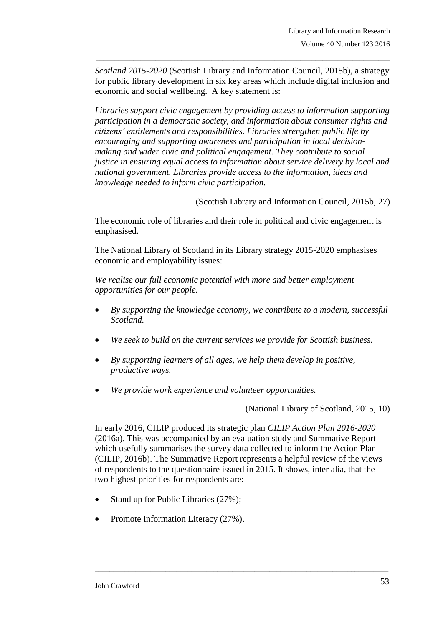*Scotland 2015-2020* (Scottish Library and Information Council, 2015b), a strategy for public library development in six key areas which include digital inclusion and economic and social wellbeing. A key statement is:

\_\_\_\_\_\_\_\_\_\_\_\_\_\_\_\_\_\_\_\_\_\_\_\_\_\_\_\_\_\_\_\_\_\_\_\_\_\_\_\_\_\_\_\_\_\_\_\_\_\_\_\_\_\_\_\_\_\_\_\_\_\_\_\_\_\_\_\_\_\_\_\_\_\_\_\_\_\_\_

*Libraries support civic engagement by providing access to information supporting participation in a democratic society, and information about consumer rights and citizens' entitlements and responsibilities. Libraries strengthen public life by encouraging and supporting awareness and participation in local decisionmaking and wider civic and political engagement. They contribute to social justice in ensuring equal access to information about service delivery by local and national government. Libraries provide access to the information, ideas and knowledge needed to inform civic participation.*

(Scottish Library and Information Council, 2015b, 27)

The economic role of libraries and their role in political and civic engagement is emphasised.

The National Library of Scotland in its Library strategy 2015-2020 emphasises economic and employability issues:

*We realise our full economic potential with more and better employment opportunities for our people.* 

- *By supporting the knowledge economy, we contribute to a modern, successful Scotland.*
- *We seek to build on the current services we provide for Scottish business.*
- *By supporting learners of all ages, we help them develop in positive, productive ways.*
- *We provide work experience and volunteer opportunities.*

(National Library of Scotland, 2015, 10)

In early 2016, CILIP produced its strategic plan *CILIP Action Plan 2016-2020* (2016a). This was accompanied by an evaluation study and Summative Report which usefully summarises the survey data collected to inform the Action Plan (CILIP, 2016b). The Summative Report represents a helpful review of the views of respondents to the questionnaire issued in 2015. It shows, inter alia, that the two highest priorities for respondents are:

- Stand up for Public Libraries (27%);
- Promote Information Literacy (27%).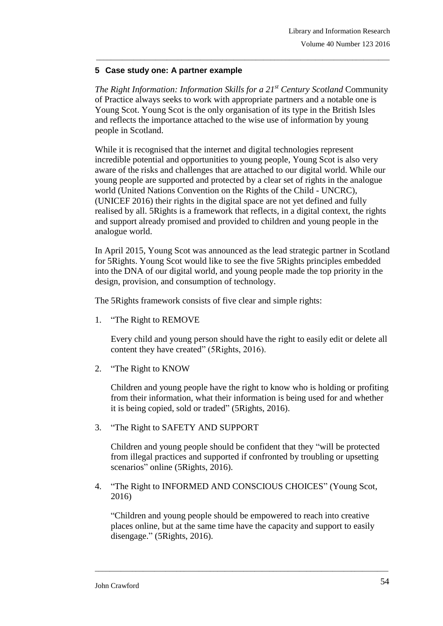### **5 Case study one: A partner example**

*The Right Information: Information Skills for a 21st Century Scotland* Community of Practice always seeks to work with appropriate partners and a notable one is Young Scot. Young Scot is the only organisation of its type in the British Isles and reflects the importance attached to the wise use of information by young people in Scotland.

\_\_\_\_\_\_\_\_\_\_\_\_\_\_\_\_\_\_\_\_\_\_\_\_\_\_\_\_\_\_\_\_\_\_\_\_\_\_\_\_\_\_\_\_\_\_\_\_\_\_\_\_\_\_\_\_\_\_\_\_\_\_\_\_\_\_\_\_\_\_\_\_\_\_\_\_\_\_\_

While it is recognised that the internet and digital technologies represent incredible potential and opportunities to young people, Young Scot is also very aware of the risks and challenges that are attached to our digital world. While our young people are supported and protected by a clear set of rights in the analogue world (United Nations Convention on the Rights of the Child - UNCRC), (UNICEF 2016) their rights in the digital space are not yet defined and fully realised by all. 5Rights is a framework that reflects, in a digital context, the rights and support already promised and provided to children and young people in the analogue world.

In April 2015, Young Scot was announced as the lead strategic partner in Scotland for 5Rights. Young Scot would like to see the five 5Rights principles embedded into the DNA of our digital world, and young people made the top priority in the design, provision, and consumption of technology.

The 5Rights framework consists of five clear and simple rights:

1. "The Right to REMOVE

Every child and young person should have the right to easily edit or delete all content they have created" (5Rights, 2016).

2. "The Right to KNOW

Children and young people have the right to know who is holding or profiting from their information, what their information is being used for and whether it is being copied, sold or traded" (5Rights, 2016).

3. "The Right to SAFETY AND SUPPORT

Children and young people should be confident that they "will be protected from illegal practices and supported if confronted by troubling or upsetting scenarios" online (5Rights, 2016).

4. "The Right to INFORMED AND CONSCIOUS CHOICES" (Young Scot, 2016)

"Children and young people should be empowered to reach into creative places online, but at the same time have the capacity and support to easily disengage." (5Rights, 2016).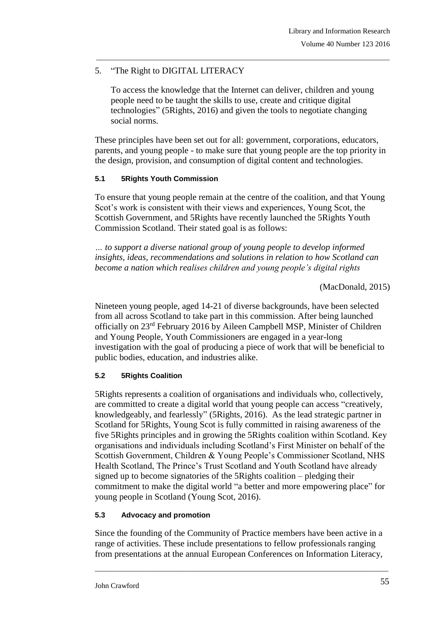## 5. "The Right to DIGITAL LITERACY

To access the knowledge that the Internet can deliver, children and young people need to be taught the skills to use, create and critique digital technologies" (5Rights, 2016) and given the tools to negotiate changing social norms.

\_\_\_\_\_\_\_\_\_\_\_\_\_\_\_\_\_\_\_\_\_\_\_\_\_\_\_\_\_\_\_\_\_\_\_\_\_\_\_\_\_\_\_\_\_\_\_\_\_\_\_\_\_\_\_\_\_\_\_\_\_\_\_\_\_\_\_\_\_\_\_\_\_\_\_\_\_\_\_

These principles have been set out for all: government, corporations, educators, parents, and young people - to make sure that young people are the top priority in the design, provision, and consumption of digital content and technologies.

### **5.1 5Rights Youth Commission**

To ensure that young people remain at the centre of the coalition, and that Young Scot's work is consistent with their views and experiences, Young Scot, the Scottish Government, and 5Rights have recently launched the 5Rights Youth Commission Scotland. Their stated goal is as follows:

*… to support a diverse national group of young people to develop informed insights, ideas, recommendations and solutions in relation to how Scotland can become a nation which realises children and young people's digital rights*

(MacDonald, 2015)

Nineteen young people, aged 14-21 of diverse backgrounds, have been selected from all across Scotland to take part in this commission. After being launched officially on 23rd February 2016 by Aileen Campbell MSP, Minister of Children and Young People, Youth Commissioners are engaged in a year-long investigation with the goal of producing a piece of work that will be beneficial to public bodies, education, and industries alike.

## **5.2 5Rights Coalition**

5Rights represents a coalition of organisations and individuals who, collectively, are committed to create a digital world that young people can access "creatively, knowledgeably, and fearlessly" (5Rights, 2016). As the lead strategic partner in Scotland for 5Rights, Young Scot is fully committed in raising awareness of the five 5Rights principles and in growing the 5Rights coalition within Scotland. Key organisations and individuals including Scotland's First Minister on behalf of the Scottish Government, Children & Young People's Commissioner Scotland, NHS Health Scotland, The Prince's Trust Scotland and Youth Scotland have already signed up to become signatories of the 5Rights coalition – pledging their commitment to make the digital world "a better and more empowering place" for young people in Scotland (Young Scot, 2016).

## **5.3 Advocacy and promotion**

Since the founding of the Community of Practice members have been active in a range of activities. These include presentations to fellow professionals ranging from presentations at the annual European Conferences on Information Literacy,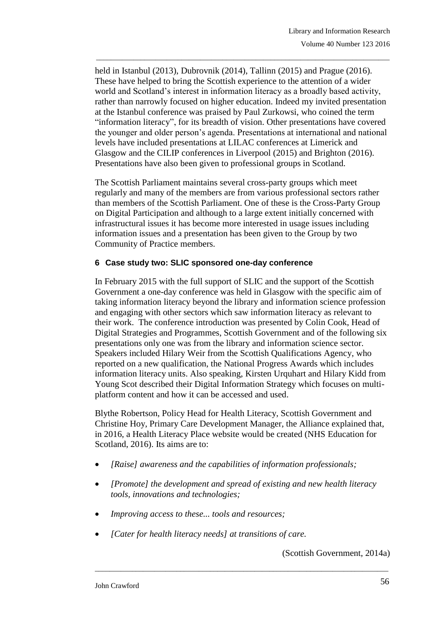held in Istanbul (2013), Dubrovnik (2014), Tallinn (2015) and Prague (2016). These have helped to bring the Scottish experience to the attention of a wider world and Scotland's interest in information literacy as a broadly based activity, rather than narrowly focused on higher education. Indeed my invited presentation at the Istanbul conference was praised by Paul Zurkowsi, who coined the term "information literacy", for its breadth of vision. Other presentations have covered the younger and older person's agenda. Presentations at international and national levels have included presentations at LILAC conferences at Limerick and Glasgow and the CILIP conferences in Liverpool (2015) and Brighton (2016). Presentations have also been given to professional groups in Scotland.

\_\_\_\_\_\_\_\_\_\_\_\_\_\_\_\_\_\_\_\_\_\_\_\_\_\_\_\_\_\_\_\_\_\_\_\_\_\_\_\_\_\_\_\_\_\_\_\_\_\_\_\_\_\_\_\_\_\_\_\_\_\_\_\_\_\_\_\_\_\_\_\_\_\_\_\_\_\_\_

The Scottish Parliament maintains several cross-party groups which meet regularly and many of the members are from various professional sectors rather than members of the Scottish Parliament. One of these is the Cross-Party Group on Digital Participation and although to a large extent initially concerned with infrastructural issues it has become more interested in usage issues including information issues and a presentation has been given to the Group by two Community of Practice members.

### **6 Case study two: SLIC sponsored one-day conference**

In February 2015 with the full support of SLIC and the support of the Scottish Government a one-day conference was held in Glasgow with the specific aim of taking information literacy beyond the library and information science profession and engaging with other sectors which saw information literacy as relevant to their work. The conference introduction was presented by Colin Cook, Head of Digital Strategies and Programmes, Scottish Government and of the following six presentations only one was from the library and information science sector. Speakers included Hilary Weir from the Scottish Qualifications Agency, who reported on a new qualification, the National Progress Awards which includes information literacy units. Also speaking, Kirsten Urquhart and Hilary Kidd from Young Scot described their Digital Information Strategy which focuses on multiplatform content and how it can be accessed and used.

Blythe Robertson, Policy Head for Health Literacy, Scottish Government and Christine Hoy, Primary Care Development Manager, the Alliance explained that, in 2016, a Health Literacy Place website would be created (NHS Education for Scotland, 2016). Its aims are to:

- *[Raise] awareness and the capabilities of information professionals;*
- *[Promote] the development and spread of existing and new health literacy tools, innovations and technologies;*

\_\_\_\_\_\_\_\_\_\_\_\_\_\_\_\_\_\_\_\_\_\_\_\_\_\_\_\_\_\_\_\_\_\_\_\_\_\_\_\_\_\_\_\_\_\_\_\_\_\_\_\_\_\_\_\_\_\_\_\_\_\_\_\_\_\_\_\_\_\_\_\_\_\_\_\_\_\_\_

- *Improving access to these... tools and resources;*
- *[Cater for health literacy needs] at transitions of care.*

(Scottish Government, 2014a)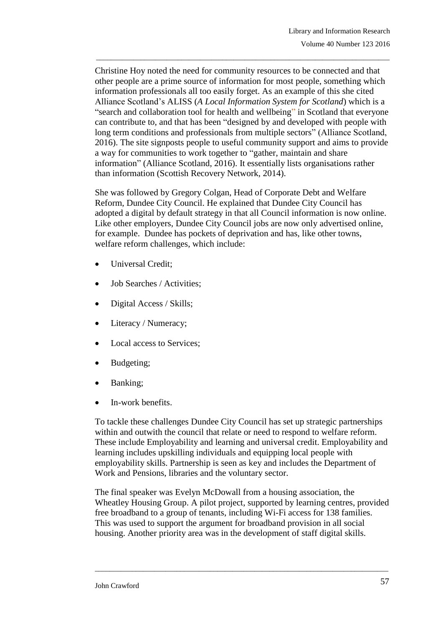Christine Hoy noted the need for community resources to be connected and that other people are a prime source of information for most people, something which information professionals all too easily forget. As an example of this she cited Alliance Scotland's ALISS (*A Local Information System for Scotland*) which is a "search and collaboration tool for health and wellbeing" in Scotland that everyone can contribute to, and that has been "designed by and developed with people with long term conditions and professionals from multiple sectors" (Alliance Scotland, 2016). The site signposts people to useful community support and aims to provide a way for communities to work together to "gather, maintain and share information" (Alliance Scotland, 2016). It essentially lists organisations rather than information (Scottish Recovery Network, 2014).

\_\_\_\_\_\_\_\_\_\_\_\_\_\_\_\_\_\_\_\_\_\_\_\_\_\_\_\_\_\_\_\_\_\_\_\_\_\_\_\_\_\_\_\_\_\_\_\_\_\_\_\_\_\_\_\_\_\_\_\_\_\_\_\_\_\_\_\_\_\_\_\_\_\_\_\_\_\_\_

She was followed by Gregory Colgan, Head of Corporate Debt and Welfare Reform, Dundee City Council. He explained that Dundee City Council has adopted a digital by default strategy in that all Council information is now online. Like other employers, Dundee City Council jobs are now only advertised online, for example. Dundee has pockets of deprivation and has, like other towns, welfare reform challenges, which include:

- Universal Credit;
- Job Searches / Activities;
- Digital Access / Skills;
- Literacy / Numeracy;
- Local access to Services;
- Budgeting;
- Banking;
- In-work benefits.

To tackle these challenges Dundee City Council has set up strategic partnerships within and outwith the council that relate or need to respond to welfare reform. These include Employability and learning and universal credit. Employability and learning includes upskilling individuals and equipping local people with employability skills. Partnership is seen as key and includes the Department of Work and Pensions, libraries and the voluntary sector.

The final speaker was Evelyn McDowall from a housing association, the Wheatley Housing Group. A pilot project, supported by learning centres, provided free broadband to a group of tenants, including Wi-Fi access for 138 families. This was used to support the argument for broadband provision in all social housing. Another priority area was in the development of staff digital skills.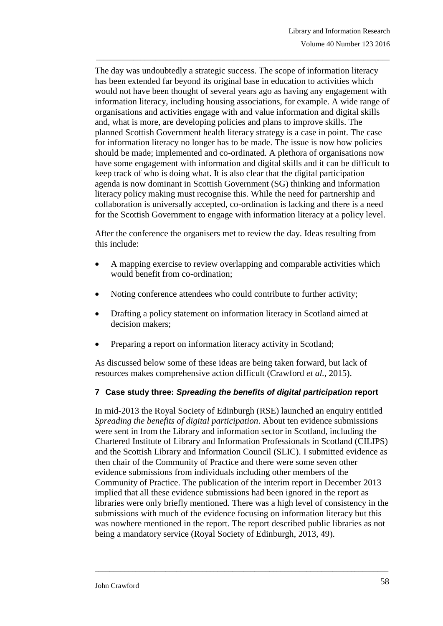The day was undoubtedly a strategic success. The scope of information literacy has been extended far beyond its original base in education to activities which would not have been thought of several years ago as having any engagement with information literacy, including housing associations, for example. A wide range of organisations and activities engage with and value information and digital skills and, what is more, are developing policies and plans to improve skills. The planned Scottish Government health literacy strategy is a case in point. The case for information literacy no longer has to be made. The issue is now how policies should be made; implemented and co-ordinated. A plethora of organisations now have some engagement with information and digital skills and it can be difficult to keep track of who is doing what. It is also clear that the digital participation agenda is now dominant in Scottish Government (SG) thinking and information literacy policy making must recognise this. While the need for partnership and collaboration is universally accepted, co-ordination is lacking and there is a need for the Scottish Government to engage with information literacy at a policy level.

\_\_\_\_\_\_\_\_\_\_\_\_\_\_\_\_\_\_\_\_\_\_\_\_\_\_\_\_\_\_\_\_\_\_\_\_\_\_\_\_\_\_\_\_\_\_\_\_\_\_\_\_\_\_\_\_\_\_\_\_\_\_\_\_\_\_\_\_\_\_\_\_\_\_\_\_\_\_\_

After the conference the organisers met to review the day. Ideas resulting from this include:

- A mapping exercise to review overlapping and comparable activities which would benefit from co-ordination;
- Noting conference attendees who could contribute to further activity;
- Drafting a policy statement on information literacy in Scotland aimed at decision makers;
- Preparing a report on information literacy activity in Scotland;

As discussed below some of these ideas are being taken forward, but lack of resources makes comprehensive action difficult (Crawford *et al.,* 2015).

### **7 Case study three:** *Spreading the benefits of digital participation* **report**

In mid-2013 the Royal Society of Edinburgh (RSE) launched an enquiry entitled *Spreading the benefits of digital participation*. About ten evidence submissions were sent in from the Library and information sector in Scotland, including the Chartered Institute of Library and Information Professionals in Scotland (CILIPS) and the Scottish Library and Information Council (SLIC). I submitted evidence as then chair of the Community of Practice and there were some seven other evidence submissions from individuals including other members of the Community of Practice. The publication of the interim report in December 2013 implied that all these evidence submissions had been ignored in the report as libraries were only briefly mentioned. There was a high level of consistency in the submissions with much of the evidence focusing on information literacy but this was nowhere mentioned in the report. The report described public libraries as not being a mandatory service (Royal Society of Edinburgh, 2013, 49).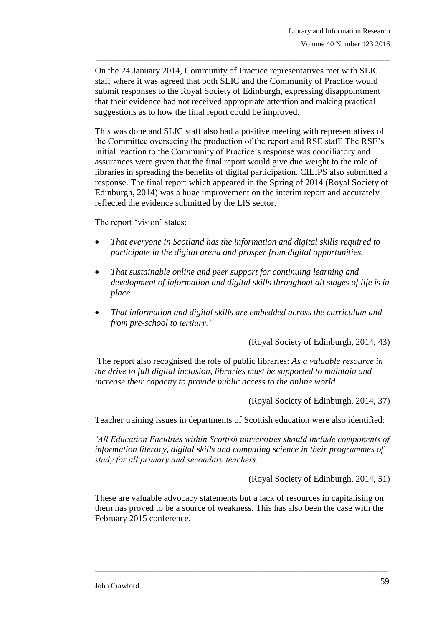On the 24 January 2014, Community of Practice representatives met with SLIC staff where it was agreed that both SLIC and the Community of Practice would submit responses to the Royal Society of Edinburgh, expressing disappointment that their evidence had not received appropriate attention and making practical suggestions as to how the final report could be improved.

\_\_\_\_\_\_\_\_\_\_\_\_\_\_\_\_\_\_\_\_\_\_\_\_\_\_\_\_\_\_\_\_\_\_\_\_\_\_\_\_\_\_\_\_\_\_\_\_\_\_\_\_\_\_\_\_\_\_\_\_\_\_\_\_\_\_\_\_\_\_\_\_\_\_\_\_\_\_\_

This was done and SLIC staff also had a positive meeting with representatives of the Committee overseeing the production of the report and RSE staff. The RSE's initial reaction to the Community of Practice's response was conciliatory and assurances were given that the final report would give due weight to the role of libraries in spreading the benefits of digital participation. CILIPS also submitted a response. The final report which appeared in the Spring of 2014 (Royal Society of Edinburgh, 2014) was a huge improvement on the interim report and accurately reflected the evidence submitted by the LIS sector.

The report 'vision' states:

- *That everyone in Scotland has the information and digital skills required to participate in the digital arena and prosper from digital opportunities.*
- *That sustainable online and peer support for continuing learning and development of information and digital skills throughout all stages of life is in place.*
- *That information and digital skills are embedded across the curriculum and from pre-school to tertiary.'*

(Royal Society of Edinburgh, 2014, 43)

The report also recognised the role of public libraries: *As a valuable resource in the drive to full digital inclusion, libraries must be supported to maintain and increase their capacity to provide public access to the online world* 

(Royal Society of Edinburgh, 2014, 37)

Teacher training issues in departments of Scottish education were also identified:

*'All Education Faculties within Scottish universities should include components of information literacy, digital skills and computing science in their programmes of study for all primary and secondary teachers.'*

(Royal Society of Edinburgh, 2014, 51)

These are valuable advocacy statements but a lack of resources in capitalising on them has proved to be a source of weakness. This has also been the case with the February 2015 conference.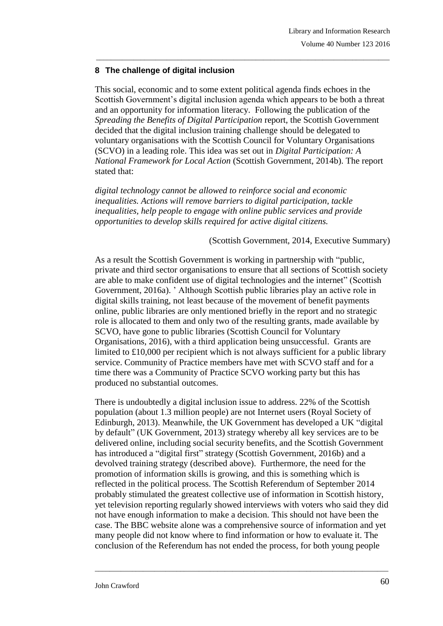### **8 The challenge of digital inclusion**

This social, economic and to some extent political agenda finds echoes in the Scottish Government's digital inclusion agenda which appears to be both a threat and an opportunity for information literacy. Following the publication of the *Spreading the Benefits of Digital Participation* report, the Scottish Government decided that the digital inclusion training challenge should be delegated to voluntary organisations with the Scottish Council for Voluntary Organisations (SCVO) in a leading role. This idea was set out in *Digital Participation: A National Framework for Local Action* (Scottish Government, 2014b). The report stated that:

\_\_\_\_\_\_\_\_\_\_\_\_\_\_\_\_\_\_\_\_\_\_\_\_\_\_\_\_\_\_\_\_\_\_\_\_\_\_\_\_\_\_\_\_\_\_\_\_\_\_\_\_\_\_\_\_\_\_\_\_\_\_\_\_\_\_\_\_\_\_\_\_\_\_\_\_\_\_\_

*digital technology cannot be allowed to reinforce social and economic inequalities. Actions will remove barriers to digital participation, tackle inequalities, help people to engage with online public services and provide opportunities to develop skills required for active digital citizens.*

### (Scottish Government, 2014, Executive Summary)

As a result the Scottish Government is working in partnership with "public, private and third sector organisations to ensure that all sections of Scottish society are able to make confident use of digital technologies and the internet" (Scottish Government, 2016a). ' Although Scottish public libraries play an active role in digital skills training, not least because of the movement of benefit payments online, public libraries are only mentioned briefly in the report and no strategic role is allocated to them and only two of the resulting grants, made available by SCVO, have gone to public libraries (Scottish Council for Voluntary Organisations, 2016), with a third application being unsuccessful. Grants are limited to £10,000 per recipient which is not always sufficient for a public library service. Community of Practice members have met with SCVO staff and for a time there was a Community of Practice SCVO working party but this has produced no substantial outcomes.

There is undoubtedly a digital inclusion issue to address. 22% of the Scottish population (about 1.3 million people) are not Internet users (Royal Society of Edinburgh, 2013). Meanwhile, the UK Government has developed a UK "digital by default" (UK Government, 2013) strategy whereby all key services are to be delivered online, including social security benefits, and the Scottish Government has introduced a "digital first" strategy (Scottish Government, 2016b) and a devolved training strategy (described above). Furthermore, the need for the promotion of information skills is growing, and this is something which is reflected in the political process. The Scottish Referendum of September 2014 probably stimulated the greatest collective use of information in Scottish history, yet television reporting regularly showed interviews with voters who said they did not have enough information to make a decision. This should not have been the case. The BBC website alone was a comprehensive source of information and yet many people did not know where to find information or how to evaluate it. The conclusion of the Referendum has not ended the process, for both young people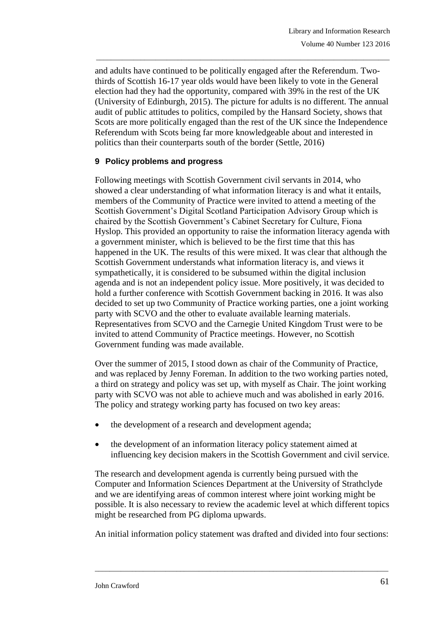and adults have continued to be politically engaged after the Referendum. Twothirds of Scottish 16-17 year olds would have been likely to vote in the General election had they had the opportunity, compared with 39% in the rest of the UK (University of Edinburgh, 2015). The picture for adults is no different. The annual audit of public attitudes to politics, compiled by the Hansard Society, shows that Scots are more politically engaged than the rest of the UK since the Independence Referendum with Scots being far more knowledgeable about and interested in politics than their counterparts south of the border (Settle, 2016)

\_\_\_\_\_\_\_\_\_\_\_\_\_\_\_\_\_\_\_\_\_\_\_\_\_\_\_\_\_\_\_\_\_\_\_\_\_\_\_\_\_\_\_\_\_\_\_\_\_\_\_\_\_\_\_\_\_\_\_\_\_\_\_\_\_\_\_\_\_\_\_\_\_\_\_\_\_\_\_

### **9 Policy problems and progress**

Following meetings with Scottish Government civil servants in 2014, who showed a clear understanding of what information literacy is and what it entails, members of the Community of Practice were invited to attend a meeting of the Scottish Government's Digital Scotland Participation Advisory Group which is chaired by the Scottish Government's Cabinet Secretary for Culture, Fiona Hyslop. This provided an opportunity to raise the information literacy agenda with a government minister, which is believed to be the first time that this has happened in the UK. The results of this were mixed. It was clear that although the Scottish Government understands what information literacy is, and views it sympathetically, it is considered to be subsumed within the digital inclusion agenda and is not an independent policy issue. More positively, it was decided to hold a further conference with Scottish Government backing in 2016. It was also decided to set up two Community of Practice working parties, one a joint working party with SCVO and the other to evaluate available learning materials. Representatives from SCVO and the Carnegie United Kingdom Trust were to be invited to attend Community of Practice meetings. However, no Scottish Government funding was made available.

Over the summer of 2015, I stood down as chair of the Community of Practice, and was replaced by Jenny Foreman. In addition to the two working parties noted, a third on strategy and policy was set up, with myself as Chair. The joint working party with SCVO was not able to achieve much and was abolished in early 2016. The policy and strategy working party has focused on two key areas:

- the development of a research and development agenda;
- the development of an information literacy policy statement aimed at influencing key decision makers in the Scottish Government and civil service.

The research and development agenda is currently being pursued with the Computer and Information Sciences Department at the University of Strathclyde and we are identifying areas of common interest where joint working might be possible. It is also necessary to review the academic level at which different topics might be researched from PG diploma upwards.

An initial information policy statement was drafted and divided into four sections: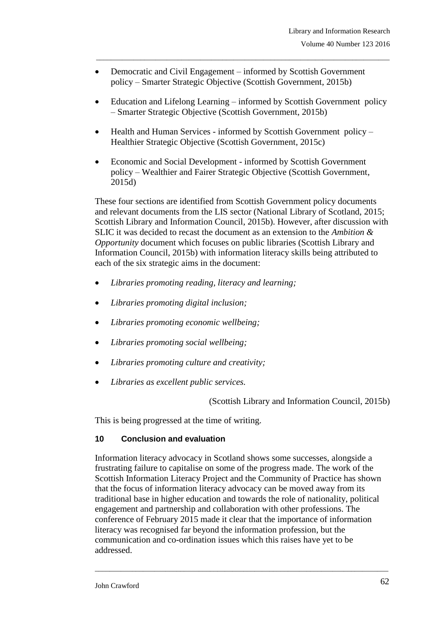- Democratic and Civil Engagement informed by Scottish Government policy – Smarter Strategic Objective (Scottish Government, 2015b)
- Education and Lifelong Learning informed by Scottish Government policy – Smarter Strategic Objective (Scottish Government, 2015b)

\_\_\_\_\_\_\_\_\_\_\_\_\_\_\_\_\_\_\_\_\_\_\_\_\_\_\_\_\_\_\_\_\_\_\_\_\_\_\_\_\_\_\_\_\_\_\_\_\_\_\_\_\_\_\_\_\_\_\_\_\_\_\_\_\_\_\_\_\_\_\_\_\_\_\_\_\_\_\_

- $\bullet$  Health and Human Services informed by Scottish Government policy Healthier Strategic Objective (Scottish Government, 2015c)
- Economic and Social Development informed by Scottish Government policy – Wealthier and Fairer Strategic Objective (Scottish Government, 2015d)

These four sections are identified from Scottish Government policy documents and relevant documents from the LIS sector (National Library of Scotland, 2015; Scottish Library and Information Council, 2015b). However, after discussion with SLIC it was decided to recast the document as an extension to the *Ambition & Opportunity* document which focuses on public libraries (Scottish Library and Information Council, 2015b) with information literacy skills being attributed to each of the six strategic aims in the document:

- *Libraries promoting reading, literacy and learning;*
- *Libraries promoting digital inclusion;*
- *Libraries promoting economic wellbeing;*
- *Libraries promoting social wellbeing;*
- *Libraries promoting culture and creativity;*
- *Libraries as excellent public services.*

(Scottish Library and Information Council, 2015b)

This is being progressed at the time of writing.

### **10 Conclusion and evaluation**

Information literacy advocacy in Scotland shows some successes, alongside a frustrating failure to capitalise on some of the progress made. The work of the Scottish Information Literacy Project and the Community of Practice has shown that the focus of information literacy advocacy can be moved away from its traditional base in higher education and towards the role of nationality, political engagement and partnership and collaboration with other professions. The conference of February 2015 made it clear that the importance of information literacy was recognised far beyond the information profession, but the communication and co-ordination issues which this raises have yet to be addressed.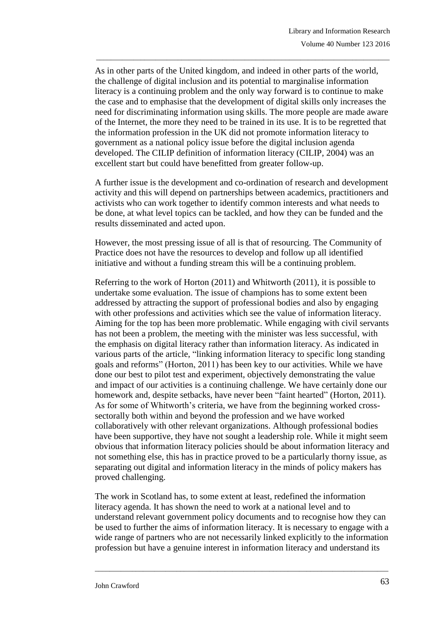As in other parts of the United kingdom, and indeed in other parts of the world, the challenge of digital inclusion and its potential to marginalise information literacy is a continuing problem and the only way forward is to continue to make the case and to emphasise that the development of digital skills only increases the need for discriminating information using skills. The more people are made aware of the Internet, the more they need to be trained in its use. It is to be regretted that the information profession in the UK did not promote information literacy to government as a national policy issue before the digital inclusion agenda developed. The CILIP definition of information literacy (CILIP, 2004) was an excellent start but could have benefitted from greater follow-up.

\_\_\_\_\_\_\_\_\_\_\_\_\_\_\_\_\_\_\_\_\_\_\_\_\_\_\_\_\_\_\_\_\_\_\_\_\_\_\_\_\_\_\_\_\_\_\_\_\_\_\_\_\_\_\_\_\_\_\_\_\_\_\_\_\_\_\_\_\_\_\_\_\_\_\_\_\_\_\_

A further issue is the development and co-ordination of research and development activity and this will depend on partnerships between academics, practitioners and activists who can work together to identify common interests and what needs to be done, at what level topics can be tackled, and how they can be funded and the results disseminated and acted upon.

However, the most pressing issue of all is that of resourcing. The Community of Practice does not have the resources to develop and follow up all identified initiative and without a funding stream this will be a continuing problem.

Referring to the work of Horton (2011) and Whitworth (2011), it is possible to undertake some evaluation. The issue of champions has to some extent been addressed by attracting the support of professional bodies and also by engaging with other professions and activities which see the value of information literacy. Aiming for the top has been more problematic. While engaging with civil servants has not been a problem, the meeting with the minister was less successful, with the emphasis on digital literacy rather than information literacy. As indicated in various parts of the article, "linking information literacy to specific long standing goals and reforms" (Horton, 2011) has been key to our activities. While we have done our best to pilot test and experiment, objectively demonstrating the value and impact of our activities is a continuing challenge. We have certainly done our homework and, despite setbacks, have never been "faint hearted" (Horton, 2011). As for some of Whitworth's criteria, we have from the beginning worked crosssectorally both within and beyond the profession and we have worked collaboratively with other relevant organizations. Although professional bodies have been supportive, they have not sought a leadership role. While it might seem obvious that information literacy policies should be about information literacy and not something else, this has in practice proved to be a particularly thorny issue, as separating out digital and information literacy in the minds of policy makers has proved challenging.

The work in Scotland has, to some extent at least, redefined the information literacy agenda. It has shown the need to work at a national level and to understand relevant government policy documents and to recognise how they can be used to further the aims of information literacy. It is necessary to engage with a wide range of partners who are not necessarily linked explicitly to the information profession but have a genuine interest in information literacy and understand its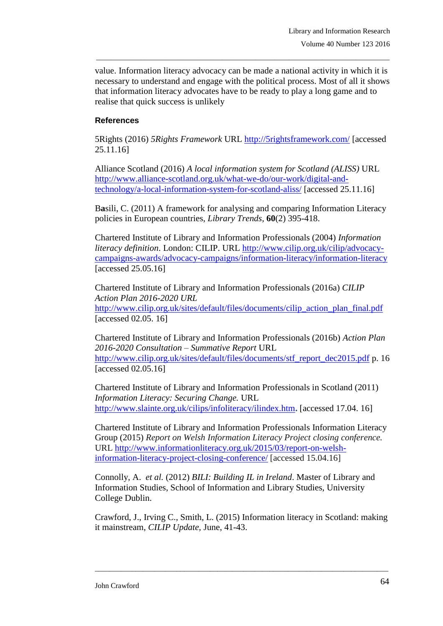value. Information literacy advocacy can be made a national activity in which it is necessary to understand and engage with the political process. Most of all it shows that information literacy advocates have to be ready to play a long game and to realise that quick success is unlikely

\_\_\_\_\_\_\_\_\_\_\_\_\_\_\_\_\_\_\_\_\_\_\_\_\_\_\_\_\_\_\_\_\_\_\_\_\_\_\_\_\_\_\_\_\_\_\_\_\_\_\_\_\_\_\_\_\_\_\_\_\_\_\_\_\_\_\_\_\_\_\_\_\_\_\_\_\_\_\_

### **References**

5Rights (2016) *5Rights Framework* URL<http://5rightsframework.com/> [accessed 25.11.16]

Alliance Scotland (2016) *A local information system for Scotland (ALISS)* URL [http://www.alliance-scotland.org.uk/what-we-do/our-work/digital-and](http://www.alliance-scotland.org.uk/what-we-do/our-work/digital-and-technology/a-local-information-system-for-scotland-aliss/)[technology/a-local-information-system-for-scotland-aliss/](http://www.alliance-scotland.org.uk/what-we-do/our-work/digital-and-technology/a-local-information-system-for-scotland-aliss/) [accessed 25.11.16]

B**a**sili, C. (2011) A framework for analysing and comparing Information Literacy policies in European countries, *Library Trends*, **60**(2) 395-418.

Chartered Institute of Library and Information Professionals (2004) *Information literacy definition*. London: CILIP. URL [http://www.cilip.org.uk/cilip/advocacy](http://www.cilip.org.uk/cilip/advocacy-campaigns-awards/advocacy-campaigns/information-literacy/information-literacy)[campaigns-awards/advocacy-campaigns/information-literacy/information-literacy](http://www.cilip.org.uk/cilip/advocacy-campaigns-awards/advocacy-campaigns/information-literacy/information-literacy)  [accessed 25.05.16]

Chartered Institute of Library and Information Professionals (2016a) *CILIP Action Plan 2016-2020 URL* [http://www.cilip.org.uk/sites/default/files/documents/cilip\\_action\\_plan\\_final.pdf](http://www.cilip.org.uk/sites/default/files/documents/cilip_action_plan_final.pdf) [accessed 02.05. 16]

Chartered Institute of Library and Information Professionals (2016b) *Action Plan 2016-2020 Consultation – Summative Report* URL [http://www.cilip.org.uk/sites/default/files/documents/stf\\_report\\_dec2015.pdf](http://www.cilip.org.uk/sites/default/files/documents/stf_report_dec2015.pdf) p. 16 [accessed 02.05.16]

Chartered Institute of Library and Information Professionals in Scotland (2011) *Information Literacy: Securing Change.* URL <http://www.slainte.org.uk/cilips/infoliteracy/ilindex.htm>**.** [accessed 17.04. 16]

Chartered Institute of Library and Information Professionals Information Literacy Group (2015) *Report on Welsh Information Literacy Project closing conference.* URL [http://www.informationliteracy.org.uk/2015/03/report-on-welsh](http://www.informationliteracy.org.uk/2015/03/report-on-welsh-information-literacy-project-closing-conference/)[information-literacy-project-closing-conference/](http://www.informationliteracy.org.uk/2015/03/report-on-welsh-information-literacy-project-closing-conference/) [accessed 15.04.16]

Connolly, A. *et al.* (2012) *BILI: Building IL in Ireland*. Master of Library and Information Studies, School of Information and Library Studies, University College Dublin.

Crawford, J., Irving C., Smith, L. (2015) Information literacy in Scotland: making it mainstream, *CILIP Update,* June, 41-43.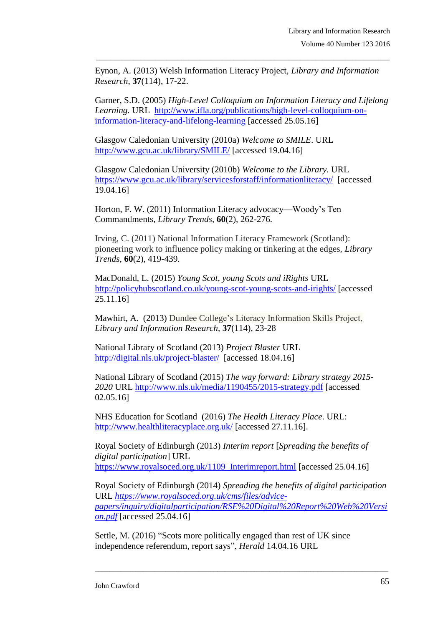Eynon, A. (2013) Welsh Information Literacy Project, *Library and Information Research*, **37**(114), 17-22.

\_\_\_\_\_\_\_\_\_\_\_\_\_\_\_\_\_\_\_\_\_\_\_\_\_\_\_\_\_\_\_\_\_\_\_\_\_\_\_\_\_\_\_\_\_\_\_\_\_\_\_\_\_\_\_\_\_\_\_\_\_\_\_\_\_\_\_\_\_\_\_\_\_\_\_\_\_\_\_

Garner, S.D. (2005) *High-Level Colloquium on Information Literacy and Lifelong Learning.* URL [http://www.ifla.org/publications/high-level-colloquium-on](http://www.ifla.org/publications/high-level-colloquium-on-information-literacy-and-lifelong-learning)[information-literacy-and-lifelong-learning](http://www.ifla.org/publications/high-level-colloquium-on-information-literacy-and-lifelong-learning) [accessed 25.05.16]

Glasgow Caledonian University (2010a) *Welcome to SMILE*. URL <http://www.gcu.ac.uk/library/SMILE/> [accessed 19.04.16]

Glasgow Caledonian University (2010b) *Welcome to the Library.* URL <https://www.gcu.ac.uk/library/servicesforstaff/informationliteracy/>[accessed 19.04.16]

Horton, F. W. (2011) Information Literacy advocacy—Woody's Ten Commandments, *Library Trends*, **60**(2), 262-276.

Irving, C. (2011) National Information Literacy Framework (Scotland): pioneering work to influence policy making or tinkering at the edges, *Library Trends*, **60**(2), 419-439.

MacDonald, L. (2015) *Young Scot, young Scots and iRights* URL <http://policyhubscotland.co.uk/young-scot-young-scots-and-irights/> [accessed 25.11.16]

Mawhirt, A. (2013) Dundee College's Literacy Information Skills Project, *Library and Information Research*, **37**(114), 23-28

National Library of Scotland (2013) *Project Blaster* URL <http://digital.nls.uk/project-blaster/>[accessed 18.04.16]

National Library of Scotland (2015) *The way forward: Library strategy 2015- 2020* URL<http://www.nls.uk/media/1190455/2015-strategy.pdf> [accessed 02.05.16]

NHS Education for Scotland (2016) *The Health Literacy Place*. URL: <http://www.healthliteracyplace.org.uk/> [accessed 27.11.16].

Royal Society of Edinburgh (2013) *Interim report* [*Spreading the benefits of digital participation*] URL [https://www.royalsoced.org.uk/1109\\_Interimreport.html](https://www.royalsoced.org.uk/1109_Interimreport.html) [accessed 25.04.16]

Royal Society of Edinburgh (2014) *Spreading the benefits of digital participation*  URL *[https://www.royalsoced.org.uk/cms/files/advice](https://www.royalsoced.org.uk/cms/files/advice-papers/inquiry/digitalparticipation/RSE%20Digital%20Report%20Web%20Version.pdf)[papers/inquiry/digitalparticipation/RSE%20Digital%20Report%20Web%20Versi](https://www.royalsoced.org.uk/cms/files/advice-papers/inquiry/digitalparticipation/RSE%20Digital%20Report%20Web%20Version.pdf) [on.pdf](https://www.royalsoced.org.uk/cms/files/advice-papers/inquiry/digitalparticipation/RSE%20Digital%20Report%20Web%20Version.pdf)* [accessed 25.04.16]

\_\_\_\_\_\_\_\_\_\_\_\_\_\_\_\_\_\_\_\_\_\_\_\_\_\_\_\_\_\_\_\_\_\_\_\_\_\_\_\_\_\_\_\_\_\_\_\_\_\_\_\_\_\_\_\_\_\_\_\_\_\_\_\_\_\_\_\_\_\_\_\_\_\_\_\_\_\_\_

Settle, M. (2016) "Scots more politically engaged than rest of UK since independence referendum, report says", *Herald* 14.04.16 URL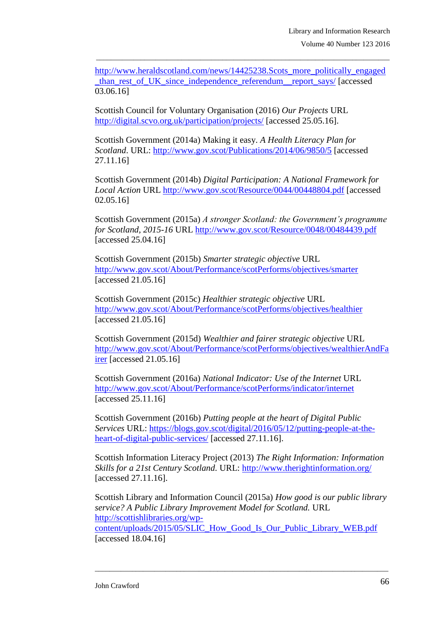[http://www.heraldscotland.com/news/14425238.Scots\\_more\\_politically\\_engaged](http://www.heraldscotland.com/news/14425238.Scots_more_politically_engaged_than_rest_of_UK_since_independence_referendum__report_says/) than rest of UK since independence referendum report says/ [accessed] 03.06.16]

\_\_\_\_\_\_\_\_\_\_\_\_\_\_\_\_\_\_\_\_\_\_\_\_\_\_\_\_\_\_\_\_\_\_\_\_\_\_\_\_\_\_\_\_\_\_\_\_\_\_\_\_\_\_\_\_\_\_\_\_\_\_\_\_\_\_\_\_\_\_\_\_\_\_\_\_\_\_\_

Scottish Council for Voluntary Organisation (2016) *Our Projects* URL <http://digital.scvo.org.uk/participation/projects/> [accessed 25.05.16].

Scottish Government (2014a) Making it easy. *A Health Literacy Plan for Scotland*. URL:<http://www.gov.scot/Publications/2014/06/9850/5> [accessed 27.11.16]

Scottish Government (2014b) *Digital Participation: A National Framework for Local Action* URL<http://www.gov.scot/Resource/0044/00448804.pdf> [accessed 02.05.16]

Scottish Government (2015a) *A stronger Scotland: the Government's programme for Scotland, 2015-16* URL<http://www.gov.scot/Resource/0048/00484439.pdf> [accessed 25.04.16]

Scottish Government (2015b) *Smarter strategic objective* URL <http://www.gov.scot/About/Performance/scotPerforms/objectives/smarter> [accessed 21.05.16]

Scottish Government (2015c) *Healthier strategic objective* URL <http://www.gov.scot/About/Performance/scotPerforms/objectives/healthier> [accessed 21.05.16]

Scottish Government (2015d) *Wealthier and fairer strategic objective* URL [http://www.gov.scot/About/Performance/scotPerforms/objectives/wealthierAndFa](http://www.gov.scot/About/Performance/scotPerforms/objectives/wealthierAndFairer) [irer](http://www.gov.scot/About/Performance/scotPerforms/objectives/wealthierAndFairer) [accessed 21.05.16]

Scottish Government (2016a) *National Indicator: Use of the Internet* URL <http://www.gov.scot/About/Performance/scotPerforms/indicator/internet> [accessed 25.11.16]

Scottish Government (2016b) *Putting people at the heart of Digital Public Services* URL: [https://blogs.gov.scot/digital/2016/05/12/putting-people-at-the](https://blogs.gov.scot/digital/2016/05/12/putting-people-at-the-heart-of-digital-public-services/)[heart-of-digital-public-services/](https://blogs.gov.scot/digital/2016/05/12/putting-people-at-the-heart-of-digital-public-services/) [accessed 27.11.16].

Scottish Information Literacy Project (2013) *The Right Information: Information Skills for a 21st Century Scotland.* URL:<http://www.therightinformation.org/> [accessed 27.11.16].

Scottish Library and Information Council (2015a) *How good is our public library service? A Public Library Improvement Model for Scotland.* URL [http://scottishlibraries.org/wp-](http://scottishlibraries.org/wp-content/uploads/2015/05/SLIC_How_Good_Is_Our_Public_Library_WEB.pdf)

[content/uploads/2015/05/SLIC\\_How\\_Good\\_Is\\_Our\\_Public\\_Library\\_WEB.pdf](http://scottishlibraries.org/wp-content/uploads/2015/05/SLIC_How_Good_Is_Our_Public_Library_WEB.pdf) [accessed 18.04.16]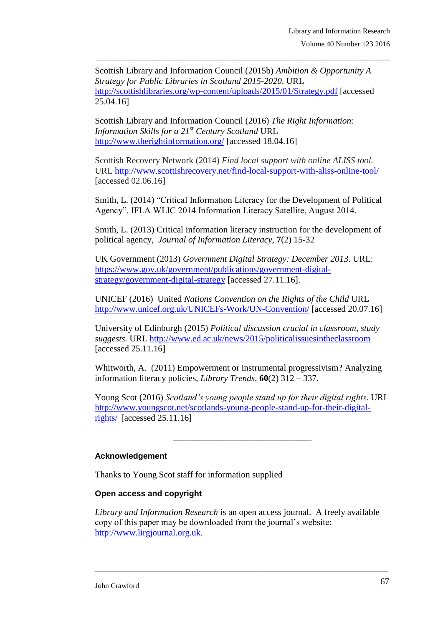Scottish Library and Information Council (2015b) *Ambition & Opportunity A Strategy for Public Libraries in Scotland 2015-2020*. URL <http://scottishlibraries.org/wp-content/uploads/2015/01/Strategy.pdf> [accessed 25.04.16]

\_\_\_\_\_\_\_\_\_\_\_\_\_\_\_\_\_\_\_\_\_\_\_\_\_\_\_\_\_\_\_\_\_\_\_\_\_\_\_\_\_\_\_\_\_\_\_\_\_\_\_\_\_\_\_\_\_\_\_\_\_\_\_\_\_\_\_\_\_\_\_\_\_\_\_\_\_\_\_

Scottish Library and Information Council (2016) *The Right Information: Information Skills for a 21st Century Scotland* URL <http://www.therightinformation.org/> [accessed 18.04.16]

Scottish Recovery Network (2014) *Find local support with online ALISS tool.*  URL<http://www.scottishrecovery.net/find-local-support-with-aliss-online-tool/> [accessed 02.06.16]

Smith, L. (2014) "Critical Information Literacy for the Development of Political Agency". IFLA WLIC 2014 Information Literacy Satellite, August 2014.

Smith, L. (2013) Critical information literacy instruction for the development of political agency, *Journal of Information Literacy*, **7**(2) 15-32

UK Government (2013) *Government Digital Strategy: December 2013*. URL: [https://www.gov.uk/government/publications/government-digital](https://www.gov.uk/government/publications/government-digital-strategy/government-digital-strategy)[strategy/government-digital-strategy](https://www.gov.uk/government/publications/government-digital-strategy/government-digital-strategy) [accessed 27.11.16].

UNICEF (2016) United *Nations Convention on the Rights of the Child* URL <http://www.unicef.org.uk/UNICEFs-Work/UN-Convention/> [accessed 20.07.16]

University of Edinburgh (2015) *Political discussion crucial in classroom, study suggests.* URL<http://www.ed.ac.uk/news/2015/politicalissuesintheclassroom> [accessed 25.11.16]

Whitworth, A. (2011) Empowerment or instrumental progressivism? Analyzing information literacy policies, *Library Trends*, **60**(2) 312 – 337.

Young Scot (2016) *Scotland's young people stand up for their digital rights.* URL [http://www.youngscot.net/scotlands-young-people-stand-up-for-their-digital](http://www.youngscot.net/scotlands-young-people-stand-up-for-their-digital-rights/)[rights/](http://www.youngscot.net/scotlands-young-people-stand-up-for-their-digital-rights/) [accessed 25.11.16]

\_\_\_\_\_\_\_\_\_\_\_\_\_\_\_\_\_\_\_\_\_\_\_\_\_\_\_\_\_\_\_

### **Acknowledgement**

Thanks to Young Scot staff for information supplied

### **Open access and copyright**

*Library and Information Research* is an open access journal. A freely available copy of this paper may be downloaded from the journal's website: [http://www.lirgjournal.org.uk.](http://www.lirgjournal.org.uk/)